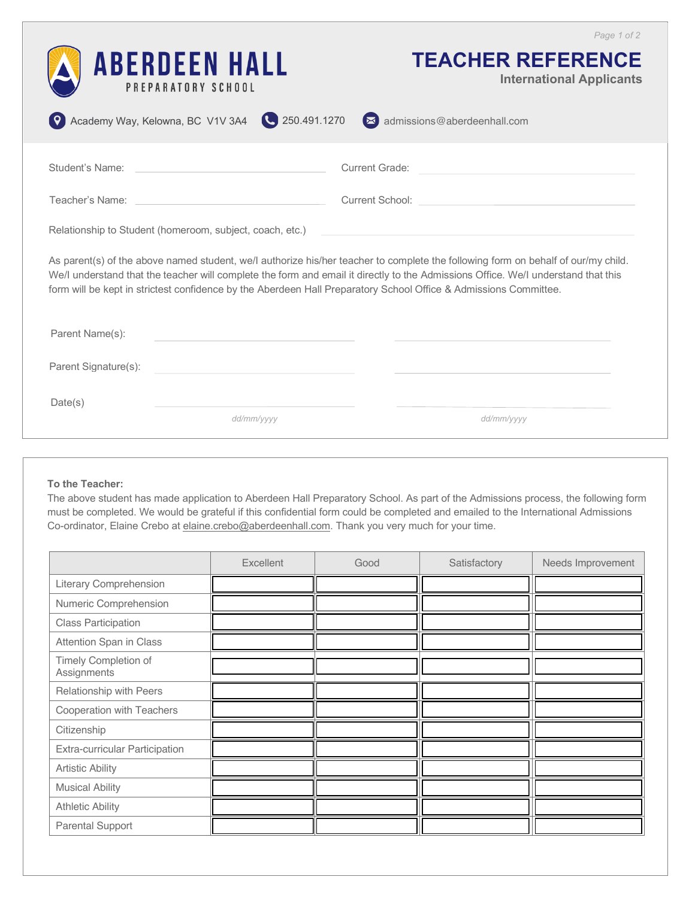| Academy Way, Kelowna, BC V1V 3A4                                                                                                                                                                                                                                                                                                                                                           | <b>ABERDEEN HALL</b><br>PREPARATORY SCHOOL<br>250.491.1270 | Page 1 of 2<br><b>TEACHER REFERENCE</b><br><b>International Applicants</b><br>admissions@aberdeenhall.com |  |  |  |
|--------------------------------------------------------------------------------------------------------------------------------------------------------------------------------------------------------------------------------------------------------------------------------------------------------------------------------------------------------------------------------------------|------------------------------------------------------------|-----------------------------------------------------------------------------------------------------------|--|--|--|
| Student's Name:                                                                                                                                                                                                                                                                                                                                                                            |                                                            | <b>Current Grade:</b>                                                                                     |  |  |  |
| Teacher's Name:                                                                                                                                                                                                                                                                                                                                                                            |                                                            |                                                                                                           |  |  |  |
| Relationship to Student (homeroom, subject, coach, etc.)                                                                                                                                                                                                                                                                                                                                   |                                                            |                                                                                                           |  |  |  |
| As parent(s) of the above named student, we/l authorize his/her teacher to complete the following form on behalf of our/my child.<br>We/I understand that the teacher will complete the form and email it directly to the Admissions Office. We/I understand that this<br>form will be kept in strictest confidence by the Aberdeen Hall Preparatory School Office & Admissions Committee. |                                                            |                                                                                                           |  |  |  |
| Parent Name(s):                                                                                                                                                                                                                                                                                                                                                                            |                                                            |                                                                                                           |  |  |  |
| Parent Signature(s):                                                                                                                                                                                                                                                                                                                                                                       |                                                            |                                                                                                           |  |  |  |
| Date(s)                                                                                                                                                                                                                                                                                                                                                                                    | dd/mm/yyyy                                                 | dd/mm/yyyy                                                                                                |  |  |  |

## **To the Teacher:**

The above student has made application to Aberdeen Hall Preparatory School. As part of the Admissions process, the following form must be completed. We would be grateful if this confidential form could be completed and emailed to the International Admissions Co-ordinator, Elaine Crebo at elaine.crebo@aberdeenhall.com. Thank you very much for your time.

|                                     | Excellent | Good | Satisfactory | Needs Improvement |
|-------------------------------------|-----------|------|--------------|-------------------|
| <b>Literary Comprehension</b>       |           |      |              |                   |
| Numeric Comprehension               |           |      |              |                   |
| <b>Class Participation</b>          |           |      |              |                   |
| Attention Span in Class             |           |      |              |                   |
| Timely Completion of<br>Assignments |           |      |              |                   |
| Relationship with Peers             |           |      |              |                   |
| Cooperation with Teachers           |           |      |              |                   |
| Citizenship                         |           |      |              |                   |
| Extra-curricular Participation      |           |      |              |                   |
| <b>Artistic Ability</b>             |           |      |              |                   |
| <b>Musical Ability</b>              |           |      |              |                   |
| <b>Athletic Ability</b>             |           |      |              |                   |
| Parental Support                    |           |      |              |                   |